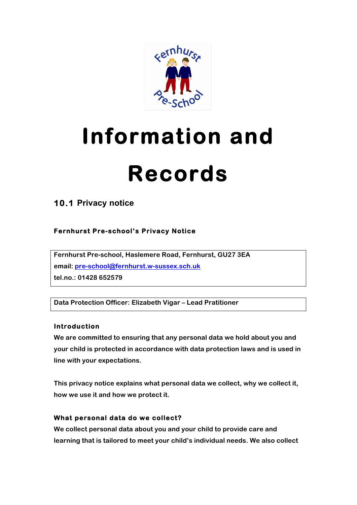

# **Information and**

# **Records**

**10.1 Privacy notice**

## **Fernhurst Pre-school's Privacy Notice**

**Fernhurst Pre-school, Haslemere Road, Fernhurst, GU27 3EA email: pre-school@fernhurst.w-sussex.sch.uk tel.no.: 01428 652579**

**Data Protection Officer: Elizabeth Vigar – Lead Pratitioner**

### **Introduction**

**We are committed to ensuring that any personal data we hold about you and your child is protected in accordance with data protection laws and is used in line with your expectations.**

**This privacy notice explains what personal data we collect, why we collect it, how we use it and how we protect it.**

## **What personal data do we collect?**

**We collect personal data about you and your child to provide care and learning that is tailored to meet your child's individual needs. We also collect**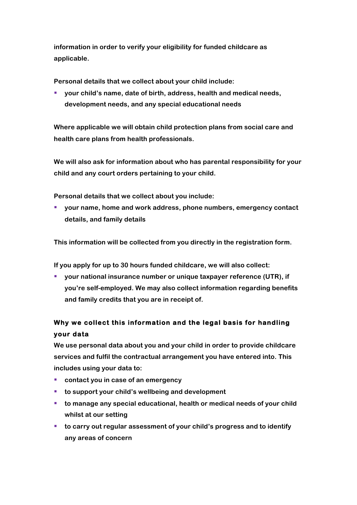**information in order to verify your eligibility for funded childcare as applicable.**

**Personal details that we collect about your child include:**

§ **your child's name, date of birth, address, health and medical needs, development needs, and any special educational needs**

**Where applicable we will obtain child protection plans from social care and health care plans from health professionals.**

**We will also ask for information about who has parental responsibility for your child and any court orders pertaining to your child.**

**Personal details that we collect about you include:**

■ your name, home and work address, phone numbers, emergency contact **details, and family details** 

**This information will be collected from you directly in the registration form.**

**If you apply for up to 30 hours funded childcare, we will also collect:**

■ your national insurance number or unique taxpayer reference (UTR), if **you're self-employed. We may also collect information regarding benefits and family credits that you are in receipt of.**

## **Why we collect this information and the legal basis for handling your data**

**We use personal data about you and your child in order to provide childcare services and fulfil the contractual arrangement you have entered into. This includes using your data to:**

- **contact you in case of an emergency**
- to support your child's wellbeing and development
- to manage any special educational, health or medical needs of your child **whilst at our setting**
- to carry out regular assessment of your child's progress and to identify **any areas of concern**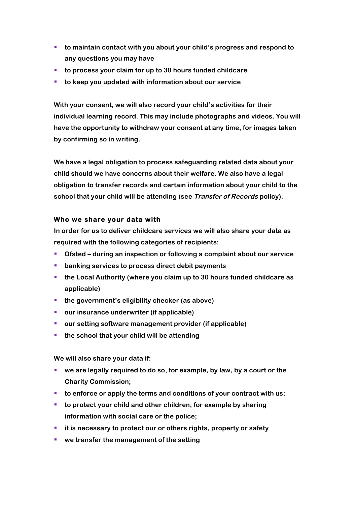- § **to maintain contact with you about your child's progress and respond to any questions you may have**
- **to process your claim for up to 30 hours funded childcare**
- § **to keep you updated with information about our service**

**With your consent, we will also record your child's activities for their individual learning record. This may include photographs and videos. You will have the opportunity to withdraw your consent at any time, for images taken by confirming so in writing.**

**We have a legal obligation to process safeguarding related data about your child should we have concerns about their welfare. We also have a legal obligation to transfer records and certain information about your child to the school that your child will be attending (see Transfer of Records policy).**

#### **Who we share your data with**

**In order for us to deliver childcare services we will also share your data as required with the following categories of recipients:**

- § **Ofsted – during an inspection or following a complaint about our service**
- banking services to process direct debit payments
- the Local Authority (where you claim up to 30 hours funded childcare as **applicable)**
- the government's eligibility checker (as above)
- our insurance underwriter (if applicable)
- our setting software management provider (if applicable)
- the school that your child will be attending

**We will also share your data if:**

- we are legally required to do so, for example, by law, by a court or the **Charity Commission;**
- to enforce or apply the terms and conditions of your contract with us;
- **to protect your child and other children; for example by sharing information with social care or the police;**
- **it is necessary to protect our or others rights, property or safety**
- we transfer the management of the setting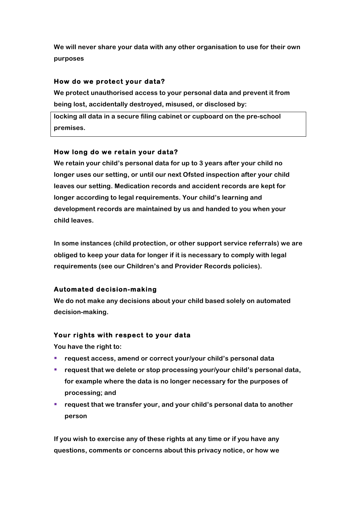**We will never share your data with any other organisation to use for their own purposes** 

#### **How do we protect your data?**

**We protect unauthorised access to your personal data and prevent it from being lost, accidentally destroyed, misused, or disclosed by:**

**locking all data in a secure filing cabinet or cupboard on the pre-school premises.** 

#### **How long do we retain your data?**

**We retain your child's personal data for up to 3 years after your child no longer uses our setting, or until our next Ofsted inspection after your child leaves our setting. Medication records and accident records are kept for longer according to legal requirements. Your child's learning and development records are maintained by us and handed to you when your child leaves.**

**In some instances (child protection, or other support service referrals) we are obliged to keep your data for longer if it is necessary to comply with legal requirements (see our Children's and Provider Records policies).**

### **Automated decision-making**

**We do not make any decisions about your child based solely on automated decision-making.** 

#### **Your rights with respect to your data**

**You have the right to:**

- **request access, amend or correct your/your child's personal data**
- request that we delete or stop processing your/your child's personal data, **for example where the data is no longer necessary for the purposes of processing; and**
- **request that we transfer your, and your child's personal data to another person**

**If you wish to exercise any of these rights at any time or if you have any questions, comments or concerns about this privacy notice, or how we**